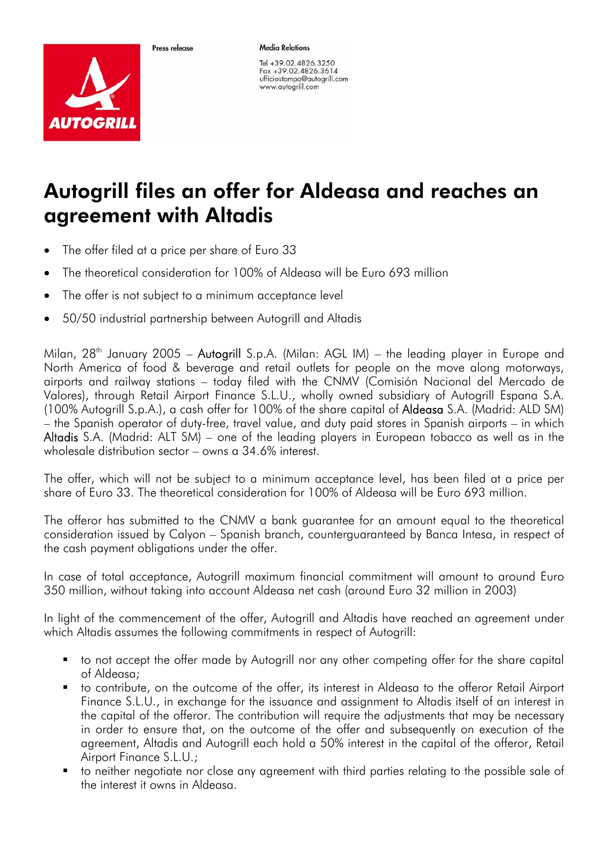

Proce release

**Media Relations** 

Tel +39.02.4826.3250 Fax +39.02.4826.3614 ufficiostampa@autogrill.com www.autogrill.com

## Autogrill files an offer for Aldeasa and reaches an agreement with Altadis

- The offer filed at a price per share of Euro 33
- The theoretical consideration for 100% of Aldeasa will be Euro 693 million
- The offer is not subject to a minimum acceptance level
- 50/50 industrial partnership between Autogrill and Altadis

Milan,  $28<sup>th</sup>$  January 2005 – Autogrill S.p.A. (Milan: AGL IM) – the leading player in Europe and North America of food & beverage and retail outlets for people on the move along motorways, airports and railway stations – today filed with the CNMV (Comisión Nacional del Mercado de Valores), through Retail Airport Finance S.L.U., wholly owned subsidiary of Autogrill Espana S.A. (100% Autogrill S.p.A.), a cash offer for 100% of the share capital of Aldeasa S.A. (Madrid: ALD SM) – the Spanish operator of duty-free, travel value, and duty paid stores in Spanish airports – in which Altadis S.A. (Madrid: ALT SM) – one of the leading players in European tobacco as well as in the wholesale distribution sector – owns a 34.6% interest.

The offer, which will not be subject to a minimum acceptance level, has been filed at a price per share of Euro 33. The theoretical consideration for 100% of Aldeasa will be Euro 693 million.

The offeror has submitted to the CNMV a bank guarantee for an amount equal to the theoretical consideration issued by Calyon – Spanish branch, counterguaranteed by Banca Intesa, in respect of the cash payment obligations under the offer.

In case of total acceptance, Autogrill maximum financial commitment will amount to around Euro 350 million, without taking into account Aldeasa net cash (around Euro 32 million in 2003)

In light of the commencement of the offer, Autogrill and Altadis have reached an agreement under which Altadis assumes the following commitments in respect of Autogrill:

- to not accept the offer made by Autogrill nor any other competing offer for the share capital of Aldeasa;
- to contribute, on the outcome of the offer, its interest in Aldeasa to the offeror Retail Airport Finance S.L.U., in exchange for the issuance and assignment to Altadis itself of an interest in the capital of the offeror. The contribution will require the adjustments that may be necessary in order to ensure that, on the outcome of the offer and subsequently on execution of the agreement, Altadis and Autogrill each hold a 50% interest in the capital of the offeror, Retail Airport Finance S.L.U.;
- **to neither negotiate nor close any agreement with third parties relating to the possible sale of** the interest it owns in Aldeasa.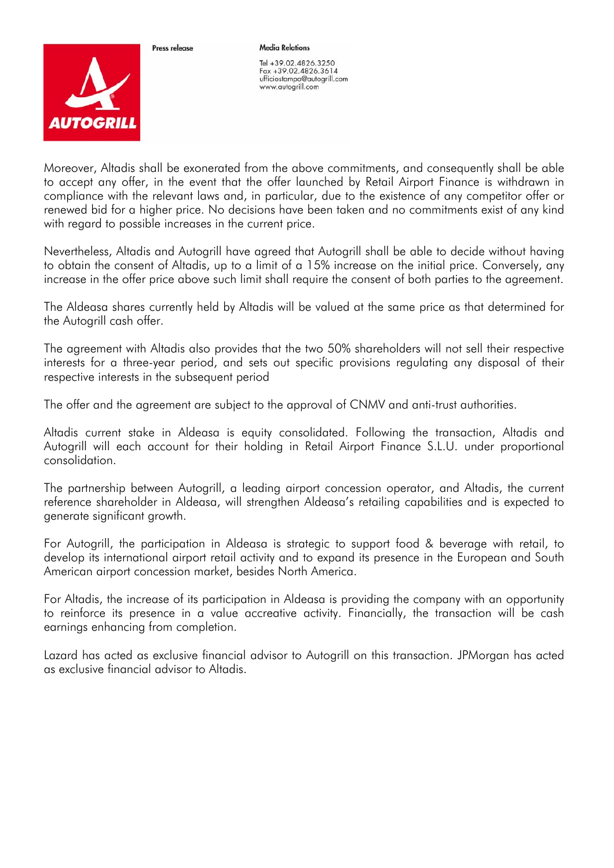

Proce release

**Media Relations** 

Tel +39.02.4826.3250 Fax +39.02.4826.3614 ufficiostampa@autogrill.com www.autogrill.com

Moreover, Altadis shall be exonerated from the above commitments, and consequently shall be able to accept any offer, in the event that the offer launched by Retail Airport Finance is withdrawn in compliance with the relevant laws and, in particular, due to the existence of any competitor offer or renewed bid for a higher price. No decisions have been taken and no commitments exist of any kind with regard to possible increases in the current price.

Nevertheless, Altadis and Autogrill have agreed that Autogrill shall be able to decide without having to obtain the consent of Altadis, up to a limit of a 15% increase on the initial price. Conversely, any increase in the offer price above such limit shall require the consent of both parties to the agreement.

The Aldeasa shares currently held by Altadis will be valued at the same price as that determined for the Autogrill cash offer.

The agreement with Altadis also provides that the two 50% shareholders will not sell their respective interests for a three-year period, and sets out specific provisions regulating any disposal of their respective interests in the subsequent period

The offer and the agreement are subject to the approval of CNMV and anti-trust authorities.

Altadis current stake in Aldeasa is equity consolidated. Following the transaction, Altadis and Autogrill will each account for their holding in Retail Airport Finance S.L.U. under proportional consolidation.

The partnership between Autogrill, a leading airport concession operator, and Altadis, the current reference shareholder in Aldeasa, will strengthen Aldeasa's retailing capabilities and is expected to generate significant growth.

For Autogrill, the participation in Aldeasa is strategic to support food & beverage with retail, to develop its international airport retail activity and to expand its presence in the European and South American airport concession market, besides North America.

For Altadis, the increase of its participation in Aldeasa is providing the company with an opportunity to reinforce its presence in a value accreative activity. Financially, the transaction will be cash earnings enhancing from completion.

Lazard has acted as exclusive financial advisor to Autogrill on this transaction. JPMorgan has acted as exclusive financial advisor to Altadis.